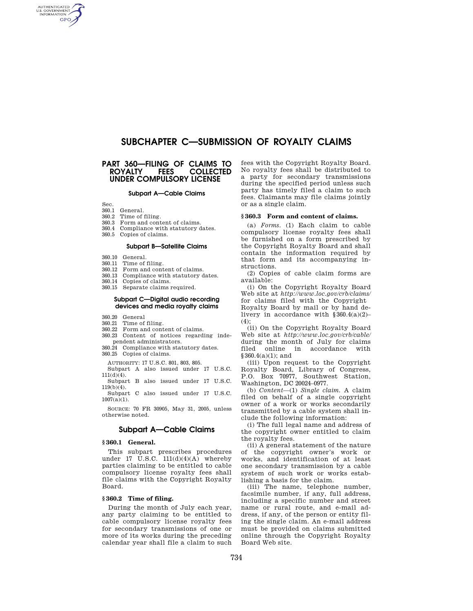# **SUBCHAPTER C—SUBMISSION OF ROYALTY CLAIMS**

# **PART 360—FILING OF CLAIMS TO COLLECTED UNDER COMPULSORY LICENSE**

#### **Subpart A—Cable Claims**

Sec.

AUTHENTICATED<br>U.S. GOVERNMENT<br>INFORMATION **GPO** 

- 360.1 General.
- 360.2 Time of filing.
- 360.3 Form and content of claims.
- 360.4 Compliance with statutory dates.
- 360.5 Copies of claims.

# **Subpart B—Satellite Claims**

- 360.10 General.
- 360.11 Time of filing.
- 360.12 Form and content of claims.
- 360.13 Compliance with statutory dates.
- 360.14 Copies of claims.
- 360.15 Separate claims required.

## **Subpart C—Digital audio recording devices and media royalty claims**

- 360.20 General
- 360.21 Time of filing.
- 360.22 Form and content of claims. 360.23 Content of notices regarding inde-
- pendent administrators. 360.24 Compliance with statutory dates.
- 360.25 Copies of claims.
- AUTHORITY: 17 U.S.C. 801, 803, 805.
- Subpart A also issued under 17 U.S.C.  $111(d)(4)$ .

Subpart B also issued under 17 U.S.C. 119(b)(4).

Subpart C also issued under 17 U.S.C.  $1007(a)(1)$ .

SOURCE: 70 FR 30905, May 31, 2005, unless otherwise noted.

# **Subpart A—Cable Claims**

## **§ 360.1 General.**

This subpart prescribes procedures under 17  $\overline{U}$ .S.C. 111(d)(4)(A) whereby parties claiming to be entitled to cable compulsory license royalty fees shall file claims with the Copyright Royalty Board.

### **§ 360.2 Time of filing.**

During the month of July each year, any party claiming to be entitled to cable compulsory license royalty fees for secondary transmissions of one or more of its works during the preceding calendar year shall file a claim to such

fees with the Copyright Royalty Board. No royalty fees shall be distributed to a party for secondary transmissions during the specified period unless such party has timely filed a claim to such fees. Claimants may file claims jointly or as a single claim.

#### **§ 360.3 Form and content of claims.**

(a) *Forms.* (1) Each claim to cable compulsory license royalty fees shall be furnished on a form prescribed by the Copyright Royalty Board and shall contain the information required by that form and its accompanying instructions.

(2) Copies of cable claim forms are available:

(i) On the Copyright Royalty Board Web site at *http://www.loc.gov/crb/claims/*  for claims filed with the Copyright Royalty Board by mail or by hand delivery in accordance with §360.4(a)(2)– (4);

(ii) On the Copyright Royalty Board Web site at *http://www.loc.gov/crb/cable/*  during the month of July for claims filed online in accordance with §360.4(a)(1); and

(iii) Upon request to the Copyright Royalty Board, Library of Congress, P.O. Box 70977, Southwest Station, Washington, DC 20024–0977.

(b) *Content*—(1) *Single claim.* A claim filed on behalf of a single copyright owner of a work or works secondarily transmitted by a cable system shall include the following information:

(i) The full legal name and address of the copyright owner entitled to claim the royalty fees.

(ii) A general statement of the nature of the copyright owner's work or works, and identification of at least one secondary transmission by a cable system of such work or works establishing a basis for the claim.

(iii) The name, telephone number, facsimile number, if any, full address, including a specific number and street name or rural route, and e-mail address, if any, of the person or entity filing the single claim. An e-mail address must be provided on claims submitted online through the Copyright Royalty Board Web site.